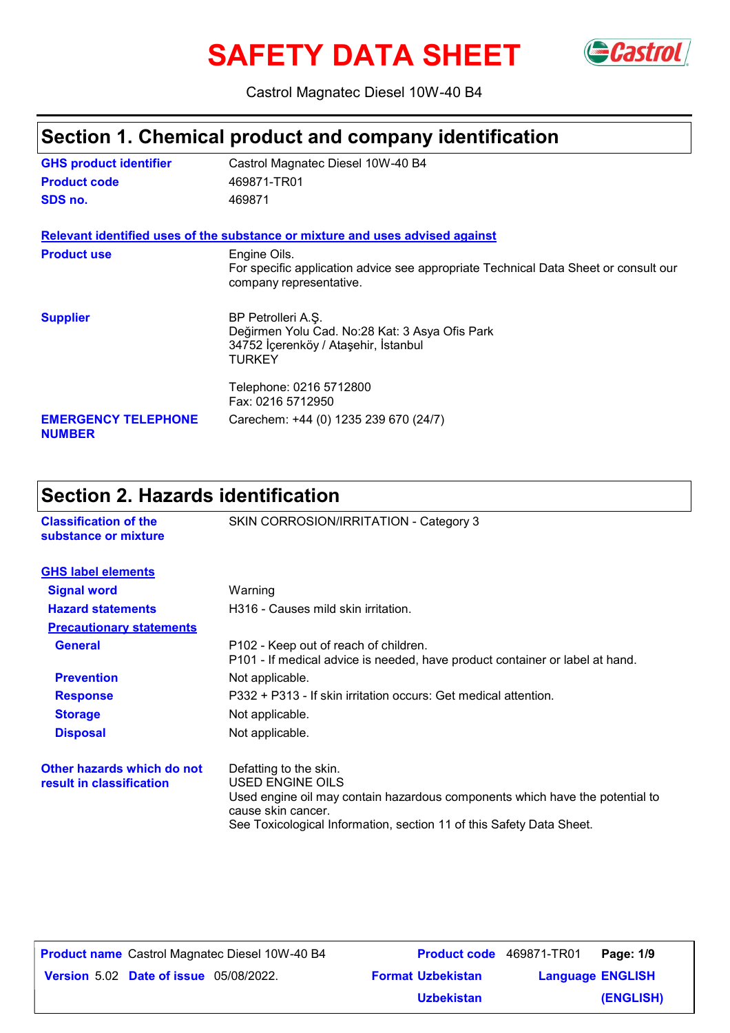# **SAFETY DATA SHEET** GCastrol



Castrol Magnatec Diesel 10W-40 B4

### **Section 1. Chemical product and company identification**

| <b>GHS product identifier</b>               | Castrol Magnatec Diesel 10W-40 B4                                                                                             |
|---------------------------------------------|-------------------------------------------------------------------------------------------------------------------------------|
| <b>Product code</b>                         | 469871-TR01                                                                                                                   |
| SDS no.                                     | 469871                                                                                                                        |
|                                             | Relevant identified uses of the substance or mixture and uses advised against                                                 |
| <b>Product use</b>                          | Engine Oils.                                                                                                                  |
|                                             | For specific application advice see appropriate Technical Data Sheet or consult our<br>company representative.                |
| <b>Supplier</b>                             | BP Petrolleri A.Ş.<br>Değirmen Yolu Cad. No:28 Kat: 3 Asya Ofis Park<br>34752 İçerenköy / Ataşehir, İstanbul<br><b>TURKEY</b> |
|                                             | Telephone: 0216 5712800<br>Fax: 0216 5712950                                                                                  |
| <b>EMERGENCY TELEPHONE</b><br><b>NUMBER</b> | Carechem: +44 (0) 1235 239 670 (24/7)                                                                                         |

# **Section 2. Hazards identification**

| <b>Classification of the</b><br>substance or mixture   | SKIN CORROSION/IRRITATION - Category 3                                                                                                                                                                                   |
|--------------------------------------------------------|--------------------------------------------------------------------------------------------------------------------------------------------------------------------------------------------------------------------------|
| <b>GHS label elements</b>                              |                                                                                                                                                                                                                          |
| <b>Signal word</b>                                     | Warning                                                                                                                                                                                                                  |
| <b>Hazard statements</b>                               | H316 - Causes mild skin irritation.                                                                                                                                                                                      |
| <b>Precautionary statements</b>                        |                                                                                                                                                                                                                          |
| <b>General</b>                                         | P102 - Keep out of reach of children.<br>P101 - If medical advice is needed, have product container or label at hand.                                                                                                    |
| <b>Prevention</b>                                      | Not applicable.                                                                                                                                                                                                          |
| <b>Response</b>                                        | P332 + P313 - If skin irritation occurs: Get medical attention.                                                                                                                                                          |
| <b>Storage</b>                                         | Not applicable.                                                                                                                                                                                                          |
| <b>Disposal</b>                                        | Not applicable.                                                                                                                                                                                                          |
| Other hazards which do not<br>result in classification | Defatting to the skin.<br>USED ENGINE OILS<br>Used engine oil may contain hazardous components which have the potential to<br>cause skin cancer.<br>See Toxicological Information, section 11 of this Safety Data Sheet. |

**Date of issue** 05/08/2022. **Version** 5.02 **Format Uzbekistan Language**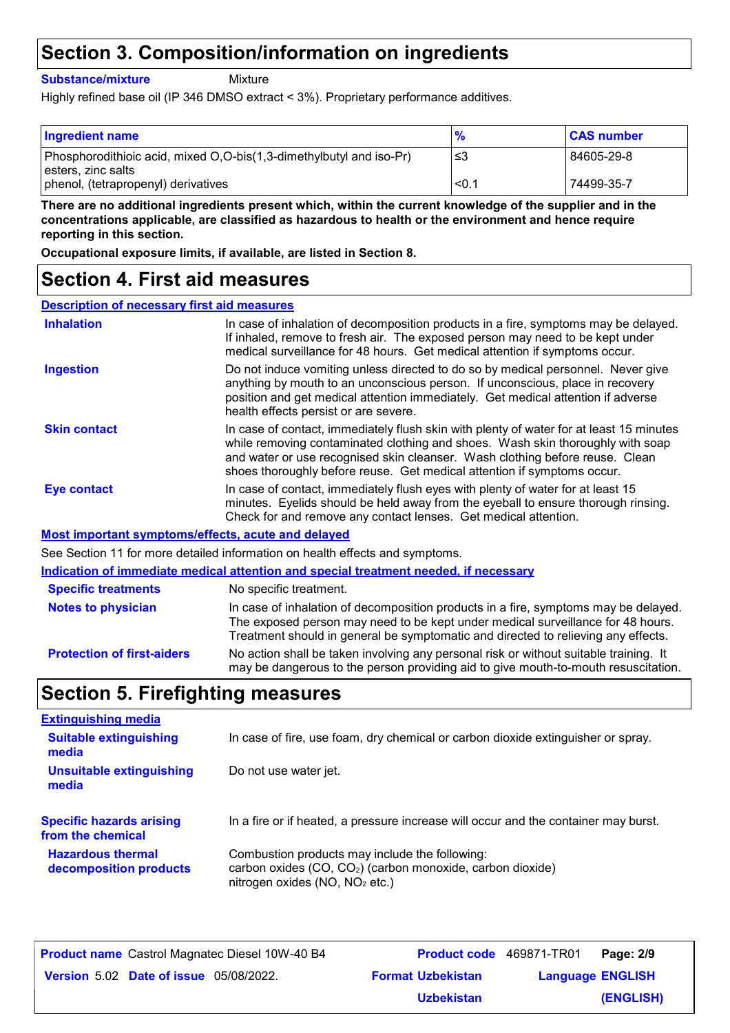## **Section 3. Composition/information on ingredients**

**Substance/mixture**

**Mixture** 

Highly refined base oil (IP 346 DMSO extract < 3%). Proprietary performance additives.

| <b>Ingredient name</b>                                                                    | $\frac{9}{6}$ | <b>CAS number</b> |
|-------------------------------------------------------------------------------------------|---------------|-------------------|
| Phosphorodithioic acid, mixed O,O-bis(1,3-dimethylbutyl and iso-Pr)<br>esters, zinc salts | -≤3           | 84605-29-8        |
| phenol, (tetrapropenyl) derivatives                                                       | < 0.1         | 74499-35-7        |

**There are no additional ingredients present which, within the current knowledge of the supplier and in the concentrations applicable, are classified as hazardous to health or the environment and hence require reporting in this section.**

**Occupational exposure limits, if available, are listed in Section 8.**

### **Section 4. First aid measures**

| <b>Description of necessary first aid measures</b> |                                                                                                                                                                                                                                                                                                                                      |
|----------------------------------------------------|--------------------------------------------------------------------------------------------------------------------------------------------------------------------------------------------------------------------------------------------------------------------------------------------------------------------------------------|
| <b>Inhalation</b>                                  | In case of inhalation of decomposition products in a fire, symptoms may be delayed.<br>If inhaled, remove to fresh air. The exposed person may need to be kept under<br>medical surveillance for 48 hours. Get medical attention if symptoms occur.                                                                                  |
| <b>Ingestion</b>                                   | Do not induce vomiting unless directed to do so by medical personnel. Never give<br>anything by mouth to an unconscious person. If unconscious, place in recovery<br>position and get medical attention immediately. Get medical attention if adverse<br>health effects persist or are severe.                                       |
| <b>Skin contact</b>                                | In case of contact, immediately flush skin with plenty of water for at least 15 minutes<br>while removing contaminated clothing and shoes. Wash skin thoroughly with soap<br>and water or use recognised skin cleanser. Wash clothing before reuse. Clean<br>shoes thoroughly before reuse. Get medical attention if symptoms occur. |
| Eye contact                                        | In case of contact, immediately flush eyes with plenty of water for at least 15<br>minutes. Eyelids should be held away from the eyeball to ensure thorough rinsing.<br>Check for and remove any contact lenses. Get medical attention.                                                                                              |
|                                                    | Most important symptoms/effects, acute and delayed                                                                                                                                                                                                                                                                                   |
|                                                    | See Section 11 for more detailed information on health effects and symptoms.                                                                                                                                                                                                                                                         |
|                                                    | Indication of immediate medical attention and special treatment needed, if necessary                                                                                                                                                                                                                                                 |
| <b>Specific treatments</b>                         | No specific treatment.                                                                                                                                                                                                                                                                                                               |
| <b>Notes to physician</b>                          | In case of inhalation of decomposition products in a fire, symptoms may be delayed.                                                                                                                                                                                                                                                  |

**Protection of first-aiders** No action shall be taken involving any personal risk or without suitable training. It may be dangerous to the person providing aid to give mouth-to-mouth resuscitation. The exposed person may need to be kept under medical surveillance for 48 hours. Treatment should in general be symptomatic and directed to relieving any effects.

### **Section 5. Firefighting measures**

| <b>Extinguishing media</b>               |                                                                                     |
|------------------------------------------|-------------------------------------------------------------------------------------|
| <b>Suitable extinguishing</b><br>media   | In case of fire, use foam, dry chemical or carbon dioxide extinguisher or spray.    |
| <b>Unsuitable extinguishing</b><br>media | Do not use water jet.                                                               |
| <b>Specific hazards arising</b>          | In a fire or if heated, a pressure increase will occur and the container may burst. |
| from the chemical                        |                                                                                     |

| <b>Product name</b> Castrol Magnatec Diesel 10W-40 B4 | <b>Product code</b> 469871-TR01 |                         | Page: 2/9 |
|-------------------------------------------------------|---------------------------------|-------------------------|-----------|
| <b>Version 5.02 Date of issue 05/08/2022.</b>         | <b>Format Uzbekistan</b>        | <b>Language ENGLISH</b> |           |
|                                                       | <b>Uzbekistan</b>               |                         | (ENGLISH) |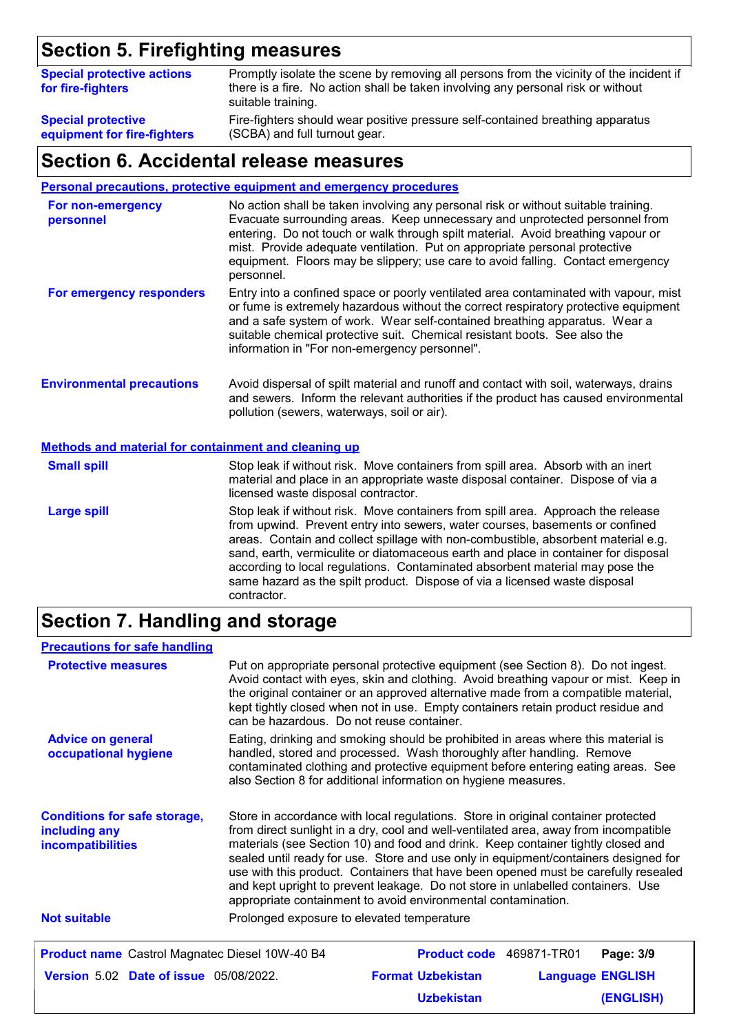# **Section 5. Firefighting measures**

| <b>Special protective actions</b><br>for fire-fighters | Promptly isolate the scene by removing all persons from the vicinity of the incident if<br>there is a fire. No action shall be taken involving any personal risk or without<br>suitable training. |
|--------------------------------------------------------|---------------------------------------------------------------------------------------------------------------------------------------------------------------------------------------------------|
| <b>Special protective</b>                              | Fire-fighters should wear positive pressure self-contained breathing apparatus                                                                                                                    |
| equipment for fire-fighters                            | (SCBA) and full turnout gear.                                                                                                                                                                     |

#### **Section 6. Accidental release measures**

**Personal precautions, protective equipment and emergency procedures**

| For non-emergency<br>personnel                              | No action shall be taken involving any personal risk or without suitable training.<br>Evacuate surrounding areas. Keep unnecessary and unprotected personnel from<br>entering. Do not touch or walk through spilt material. Avoid breathing vapour or<br>mist. Provide adequate ventilation. Put on appropriate personal protective<br>equipment. Floors may be slippery; use care to avoid falling. Contact emergency<br>personnel. |
|-------------------------------------------------------------|--------------------------------------------------------------------------------------------------------------------------------------------------------------------------------------------------------------------------------------------------------------------------------------------------------------------------------------------------------------------------------------------------------------------------------------|
| For emergency responders                                    | Entry into a confined space or poorly ventilated area contaminated with vapour, mist<br>or fume is extremely hazardous without the correct respiratory protective equipment<br>and a safe system of work. Wear self-contained breathing apparatus. Wear a<br>suitable chemical protective suit. Chemical resistant boots. See also the<br>information in "For non-emergency personnel".                                              |
| <b>Environmental precautions</b>                            | Avoid dispersal of spilt material and runoff and contact with soil, waterways, drains<br>and sewers. Inform the relevant authorities if the product has caused environmental<br>pollution (sewers, waterways, soil or air).                                                                                                                                                                                                          |
| <b>Methods and material for containment and cleaning up</b> |                                                                                                                                                                                                                                                                                                                                                                                                                                      |
| <b>Small spill</b>                                          | Stop leak if without risk. Move containers from spill area. Absorb with an inert<br>material and place in an appropriate waste disposal container. Dispose of via a<br>licensed waste disposal contractor.                                                                                                                                                                                                                           |
| <b>Large spill</b>                                          | Stop leak if without risk. Move containers from spill area. Approach the release<br>from upwind. Prevent entry into sewers, water courses, basements or confined                                                                                                                                                                                                                                                                     |

areas. Contain and collect spillage with non-combustible, absorbent material e.g. sand, earth, vermiculite or diatomaceous earth and place in container for disposal according to local regulations. Contaminated absorbent material may pose the same hazard as the spilt product. Dispose of via a licensed waste disposal contractor.

# **Section 7. Handling and storage**

| <b>Precautions for safe handling</b>                                      |                                                                                                                                                                                                                                                                                                                                                                                                                                                                                                                                                                                                |                          |                         |           |  |  |
|---------------------------------------------------------------------------|------------------------------------------------------------------------------------------------------------------------------------------------------------------------------------------------------------------------------------------------------------------------------------------------------------------------------------------------------------------------------------------------------------------------------------------------------------------------------------------------------------------------------------------------------------------------------------------------|--------------------------|-------------------------|-----------|--|--|
| <b>Protective measures</b>                                                | Put on appropriate personal protective equipment (see Section 8). Do not ingest.<br>Avoid contact with eyes, skin and clothing. Avoid breathing vapour or mist. Keep in<br>the original container or an approved alternative made from a compatible material,<br>kept tightly closed when not in use. Empty containers retain product residue and<br>can be hazardous. Do not reuse container.                                                                                                                                                                                                 |                          |                         |           |  |  |
| <b>Advice on general</b><br>occupational hygiene                          | Eating, drinking and smoking should be prohibited in areas where this material is<br>handled, stored and processed. Wash thoroughly after handling. Remove<br>contaminated clothing and protective equipment before entering eating areas. See<br>also Section 8 for additional information on hygiene measures.                                                                                                                                                                                                                                                                               |                          |                         |           |  |  |
| <b>Conditions for safe storage,</b><br>including any<br>incompatibilities | Store in accordance with local regulations. Store in original container protected<br>from direct sunlight in a dry, cool and well-ventilated area, away from incompatible<br>materials (see Section 10) and food and drink. Keep container tightly closed and<br>sealed until ready for use. Store and use only in equipment/containers designed for<br>use with this product. Containers that have been opened must be carefully resealed<br>and kept upright to prevent leakage. Do not store in unlabelled containers. Use<br>appropriate containment to avoid environmental contamination. |                          |                         |           |  |  |
| <b>Not suitable</b>                                                       | Prolonged exposure to elevated temperature                                                                                                                                                                                                                                                                                                                                                                                                                                                                                                                                                     |                          |                         |           |  |  |
| <b>Product name</b> Castrol Magnatec Diesel 10W-40 B4                     |                                                                                                                                                                                                                                                                                                                                                                                                                                                                                                                                                                                                | Product code 469871-TR01 |                         | Page: 3/9 |  |  |
| Version 5.02 Date of issue 05/08/2022.                                    |                                                                                                                                                                                                                                                                                                                                                                                                                                                                                                                                                                                                | <b>Format Uzbekistan</b> | <b>Language ENGLISH</b> |           |  |  |
|                                                                           |                                                                                                                                                                                                                                                                                                                                                                                                                                                                                                                                                                                                | <b>Uzbekistan</b>        |                         | (ENGLISH) |  |  |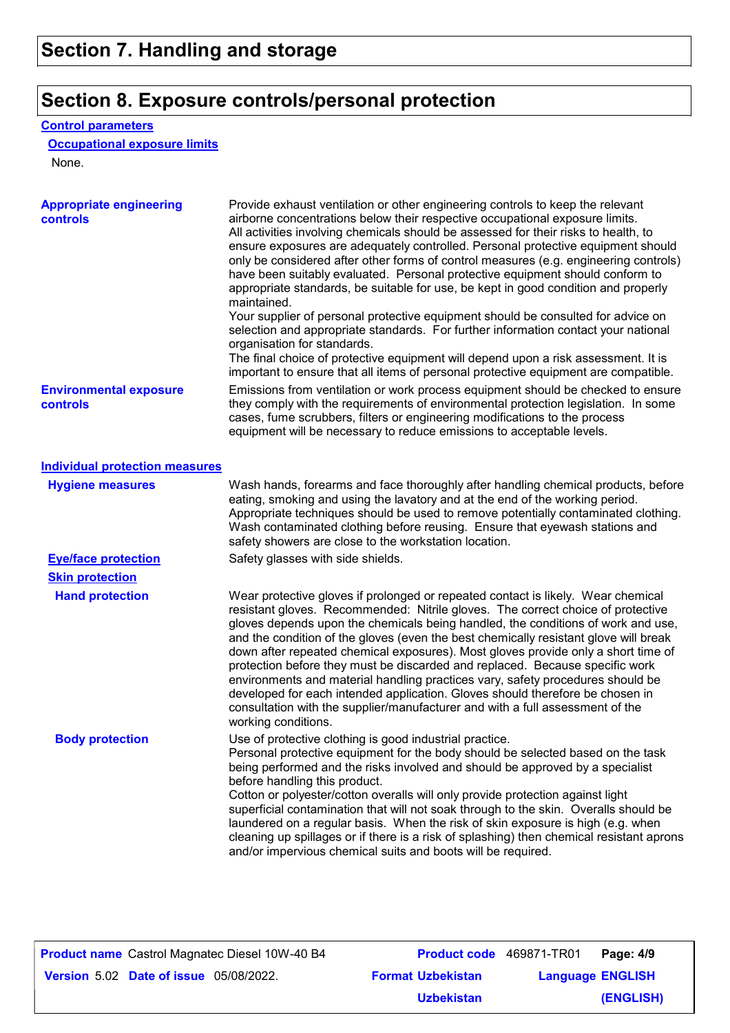### **Section 8. Exposure controls/personal protection**

#### **Control parameters**

#### **Occupational exposure limits**

None.

| <b>Appropriate engineering</b><br><b>controls</b> | Provide exhaust ventilation or other engineering controls to keep the relevant<br>airborne concentrations below their respective occupational exposure limits.<br>All activities involving chemicals should be assessed for their risks to health, to<br>ensure exposures are adequately controlled. Personal protective equipment should<br>only be considered after other forms of control measures (e.g. engineering controls)<br>have been suitably evaluated. Personal protective equipment should conform to<br>appropriate standards, be suitable for use, be kept in good condition and properly<br>maintained.<br>Your supplier of personal protective equipment should be consulted for advice on<br>selection and appropriate standards. For further information contact your national<br>organisation for standards.<br>The final choice of protective equipment will depend upon a risk assessment. It is<br>important to ensure that all items of personal protective equipment are compatible. |
|---------------------------------------------------|---------------------------------------------------------------------------------------------------------------------------------------------------------------------------------------------------------------------------------------------------------------------------------------------------------------------------------------------------------------------------------------------------------------------------------------------------------------------------------------------------------------------------------------------------------------------------------------------------------------------------------------------------------------------------------------------------------------------------------------------------------------------------------------------------------------------------------------------------------------------------------------------------------------------------------------------------------------------------------------------------------------|
| <b>Environmental exposure</b><br>controls         | Emissions from ventilation or work process equipment should be checked to ensure<br>they comply with the requirements of environmental protection legislation. In some<br>cases, fume scrubbers, filters or engineering modifications to the process<br>equipment will be necessary to reduce emissions to acceptable levels.                                                                                                                                                                                                                                                                                                                                                                                                                                                                                                                                                                                                                                                                                 |
| <b>Individual protection measures</b>             |                                                                                                                                                                                                                                                                                                                                                                                                                                                                                                                                                                                                                                                                                                                                                                                                                                                                                                                                                                                                               |
| <b>Hygiene measures</b>                           | Wash hands, forearms and face thoroughly after handling chemical products, before<br>eating, smoking and using the lavatory and at the end of the working period.<br>Appropriate techniques should be used to remove potentially contaminated clothing.<br>Wash contaminated clothing before reusing. Ensure that eyewash stations and<br>safety showers are close to the workstation location.                                                                                                                                                                                                                                                                                                                                                                                                                                                                                                                                                                                                               |
| <b>Eye/face protection</b>                        | Safety glasses with side shields.                                                                                                                                                                                                                                                                                                                                                                                                                                                                                                                                                                                                                                                                                                                                                                                                                                                                                                                                                                             |
| <b>Skin protection</b>                            |                                                                                                                                                                                                                                                                                                                                                                                                                                                                                                                                                                                                                                                                                                                                                                                                                                                                                                                                                                                                               |
| <b>Hand protection</b>                            | Wear protective gloves if prolonged or repeated contact is likely. Wear chemical<br>resistant gloves. Recommended: Nitrile gloves. The correct choice of protective<br>gloves depends upon the chemicals being handled, the conditions of work and use,<br>and the condition of the gloves (even the best chemically resistant glove will break<br>down after repeated chemical exposures). Most gloves provide only a short time of<br>protection before they must be discarded and replaced. Because specific work<br>environments and material handling practices vary, safety procedures should be<br>developed for each intended application. Gloves should therefore be chosen in<br>consultation with the supplier/manufacturer and with a full assessment of the<br>working conditions.                                                                                                                                                                                                               |
| <b>Body protection</b>                            | Use of protective clothing is good industrial practice.<br>Personal protective equipment for the body should be selected based on the task<br>being performed and the risks involved and should be approved by a specialist<br>before handling this product.<br>Cotton or polyester/cotton overalls will only provide protection against light<br>superficial contamination that will not soak through to the skin. Overalls should be<br>laundered on a regular basis. When the risk of skin exposure is high (e.g. when<br>cleaning up spillages or if there is a risk of splashing) then chemical resistant aprons<br>and/or impervious chemical suits and boots will be required.                                                                                                                                                                                                                                                                                                                         |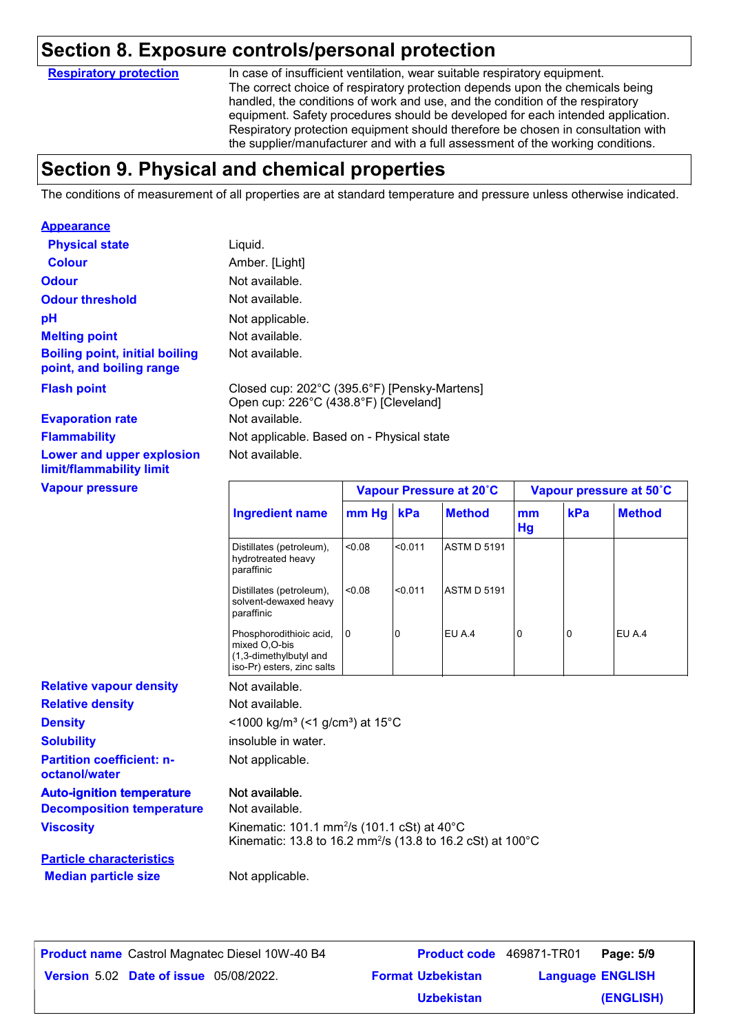### **Section 8. Exposure controls/personal protection**

**Respiratory protection**

In case of insufficient ventilation, wear suitable respiratory equipment. The correct choice of respiratory protection depends upon the chemicals being handled, the conditions of work and use, and the condition of the respiratory equipment. Safety procedures should be developed for each intended application. Respiratory protection equipment should therefore be chosen in consultation with the supplier/manufacturer and with a full assessment of the working conditions.

# **Section 9. Physical and chemical properties**

The conditions of measurement of all properties are at standard temperature and pressure unless otherwise indicated.

| <b>Appearance</b>                                                                        |                                                                                                                                   |                         |         |                    |                         |     |               |
|------------------------------------------------------------------------------------------|-----------------------------------------------------------------------------------------------------------------------------------|-------------------------|---------|--------------------|-------------------------|-----|---------------|
| <b>Physical state</b>                                                                    | Liquid.                                                                                                                           |                         |         |                    |                         |     |               |
| <b>Colour</b>                                                                            | Amber. [Light]                                                                                                                    |                         |         |                    |                         |     |               |
| <b>Odour</b>                                                                             | Not available.                                                                                                                    |                         |         |                    |                         |     |               |
| <b>Odour threshold</b>                                                                   | Not available.                                                                                                                    |                         |         |                    |                         |     |               |
| pH                                                                                       | Not applicable.                                                                                                                   |                         |         |                    |                         |     |               |
| <b>Melting point</b>                                                                     | Not available.                                                                                                                    |                         |         |                    |                         |     |               |
| <b>Boiling point, initial boiling</b><br>point, and boiling range                        | Not available.                                                                                                                    |                         |         |                    |                         |     |               |
| <b>Flash point</b>                                                                       | Closed cup: 202°C (395.6°F) [Pensky-Martens]<br>Open cup: 226°C (438.8°F) [Cleveland]                                             |                         |         |                    |                         |     |               |
| <b>Evaporation rate</b>                                                                  | Not available.                                                                                                                    |                         |         |                    |                         |     |               |
| <b>Flammability</b>                                                                      | Not applicable. Based on - Physical state                                                                                         |                         |         |                    |                         |     |               |
| Lower and upper explosion<br>limit/flammability limit                                    | Not available.                                                                                                                    |                         |         |                    |                         |     |               |
| <b>Vapour pressure</b>                                                                   |                                                                                                                                   | Vapour Pressure at 20°C |         |                    | Vapour pressure at 50°C |     |               |
|                                                                                          | <b>Ingredient name</b>                                                                                                            | mm Hg                   | kPa     | <b>Method</b>      | mm<br>Hg                | kPa | <b>Method</b> |
|                                                                                          | Distillates (petroleum),<br>hydrotreated heavy<br>paraffinic                                                                      | 0.08                    | < 0.011 | <b>ASTM D 5191</b> |                         |     |               |
|                                                                                          | Distillates (petroleum),<br>solvent-dewaxed heavy<br>paraffinic                                                                   | < 0.08                  | < 0.011 | <b>ASTM D 5191</b> |                         |     |               |
|                                                                                          | Phosphorodithioic acid,<br>mixed O,O-bis<br>(1,3-dimethylbutyl and<br>iso-Pr) esters, zinc salts                                  | 0                       | 0       | EU A.4             | 0                       | 0   | EU A.4        |
| <b>Relative vapour density</b>                                                           | Not available.                                                                                                                    |                         |         |                    |                         |     |               |
| <b>Relative density</b>                                                                  | Not available.                                                                                                                    |                         |         |                    |                         |     |               |
| <b>Density</b>                                                                           | <1000 kg/m <sup>3</sup> (<1 g/cm <sup>3</sup> ) at 15 <sup>°</sup> C                                                              |                         |         |                    |                         |     |               |
|                                                                                          | insoluble in water.                                                                                                               |                         |         |                    |                         |     |               |
| <b>Solubility</b>                                                                        |                                                                                                                                   |                         |         |                    |                         |     |               |
| <b>Partition coefficient: n-</b><br>octanol/water                                        | Not applicable.                                                                                                                   |                         |         |                    |                         |     |               |
|                                                                                          | Not available.                                                                                                                    |                         |         |                    |                         |     |               |
|                                                                                          | Not available.                                                                                                                    |                         |         |                    |                         |     |               |
| <b>Auto-ignition temperature</b><br><b>Decomposition temperature</b><br><b>Viscosity</b> | Kinematic: 101.1 mm <sup>2</sup> /s (101.1 cSt) at 40°C<br>Kinematic: 13.8 to 16.2 mm <sup>2</sup> /s (13.8 to 16.2 cSt) at 100°C |                         |         |                    |                         |     |               |
| <b>Particle characteristics</b>                                                          |                                                                                                                                   |                         |         |                    |                         |     |               |

| <b>Product name</b> Castrol Magnatec Diesel 10W-40 B4 | <b>Product code</b> 469871-TR01 |                         | Page: 5/9 |
|-------------------------------------------------------|---------------------------------|-------------------------|-----------|
| <b>Version 5.02 Date of issue 05/08/2022.</b>         | <b>Format Uzbekistan</b>        | <b>Language ENGLISH</b> |           |
|                                                       | <b>Uzbekistan</b>               |                         | (ENGLISH) |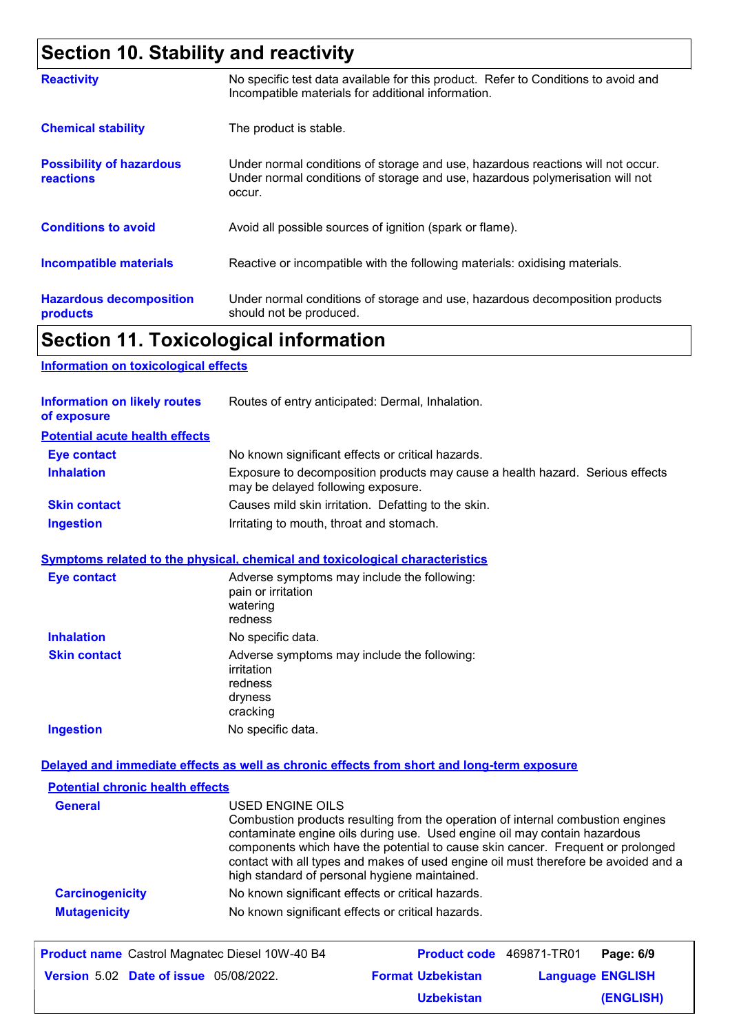# **Section 10. Stability and reactivity**

| <b>Reactivity</b>                                   | No specific test data available for this product. Refer to Conditions to avoid and<br>Incompatible materials for additional information.                                   |
|-----------------------------------------------------|----------------------------------------------------------------------------------------------------------------------------------------------------------------------------|
| <b>Chemical stability</b>                           | The product is stable.                                                                                                                                                     |
| <b>Possibility of hazardous</b><br><b>reactions</b> | Under normal conditions of storage and use, hazardous reactions will not occur.<br>Under normal conditions of storage and use, hazardous polymerisation will not<br>occur. |
| <b>Conditions to avoid</b>                          | Avoid all possible sources of ignition (spark or flame).                                                                                                                   |
| <b>Incompatible materials</b>                       | Reactive or incompatible with the following materials: oxidising materials.                                                                                                |
| <b>Hazardous decomposition</b><br>products          | Under normal conditions of storage and use, hazardous decomposition products<br>should not be produced.                                                                    |

# **Section 11. Toxicological information**

#### **Information on toxicological effects**

| <b>Information on likely routes</b><br>of exposure | Routes of entry anticipated: Dermal, Inhalation.                                                                    |
|----------------------------------------------------|---------------------------------------------------------------------------------------------------------------------|
| <b>Potential acute health effects</b>              |                                                                                                                     |
| <b>Eye contact</b>                                 | No known significant effects or critical hazards.                                                                   |
| <b>Inhalation</b>                                  | Exposure to decomposition products may cause a health hazard. Serious effects<br>may be delayed following exposure. |
| <b>Skin contact</b>                                | Causes mild skin irritation. Defatting to the skin.                                                                 |
| <b>Ingestion</b>                                   | Irritating to mouth, throat and stomach.                                                                            |

#### **Symptoms related to the physical, chemical and toxicological characteristics**

| <b>Eye contact</b>  | Adverse symptoms may include the following:<br>pain or irritation<br>watering<br>redness    |
|---------------------|---------------------------------------------------------------------------------------------|
| <b>Inhalation</b>   | No specific data.                                                                           |
| <b>Skin contact</b> | Adverse symptoms may include the following:<br>irritation<br>redness<br>dryness<br>cracking |
| <b>Ingestion</b>    | No specific data.                                                                           |

#### **Delayed and immediate effects as well as chronic effects from short and long-term exposure**

| <b>Potential chronic health effects</b> |                                                                                                                                                                                                                                                                                                                                                                                                             |
|-----------------------------------------|-------------------------------------------------------------------------------------------------------------------------------------------------------------------------------------------------------------------------------------------------------------------------------------------------------------------------------------------------------------------------------------------------------------|
| <b>General</b>                          | USED ENGINE OILS<br>Combustion products resulting from the operation of internal combustion engines<br>contaminate engine oils during use. Used engine oil may contain hazardous<br>components which have the potential to cause skin cancer. Frequent or prolonged<br>contact with all types and makes of used engine oil must therefore be avoided and a<br>high standard of personal hygiene maintained. |
| <b>Carcinogenicity</b>                  | No known significant effects or critical hazards.                                                                                                                                                                                                                                                                                                                                                           |
| <b>Mutagenicity</b>                     | No known significant effects or critical hazards.                                                                                                                                                                                                                                                                                                                                                           |

| <b>Product name</b> Castrol Magnatec Diesel 10W-40 B4 | <b>Product code</b> 469871-TR01 |                         | Page: 6/9 |
|-------------------------------------------------------|---------------------------------|-------------------------|-----------|
| <b>Version 5.02 Date of issue 05/08/2022.</b>         | <b>Format Uzbekistan</b>        | <b>Language ENGLISH</b> |           |
|                                                       | <b>Uzbekistan</b>               |                         | (ENGLISH) |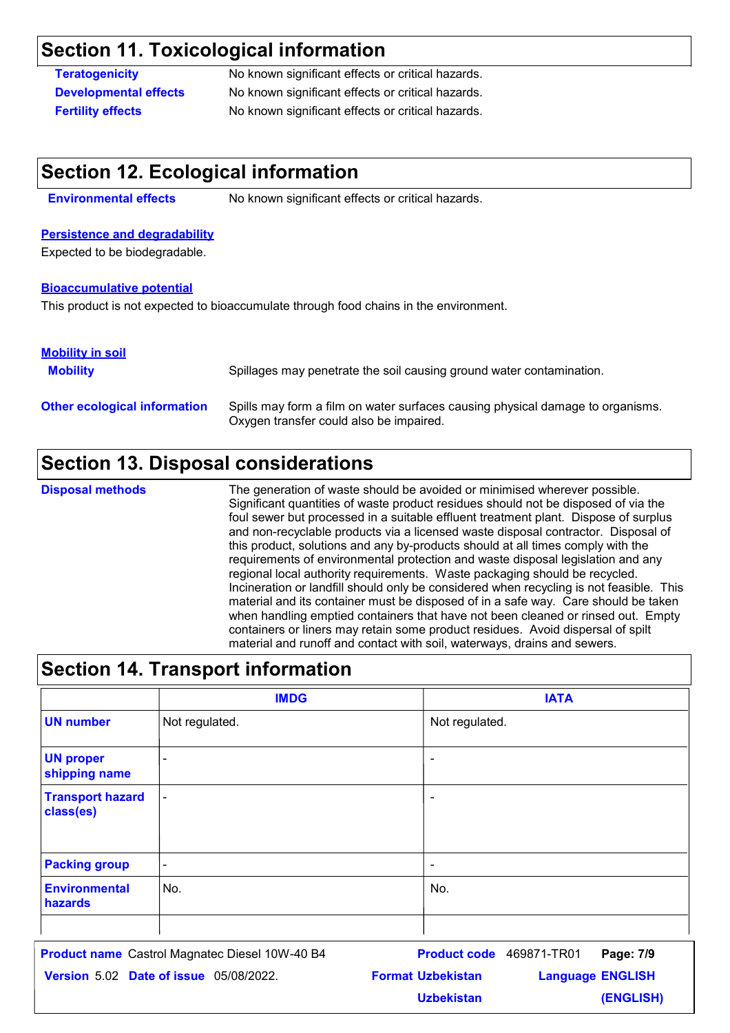## **Section 11. Toxicological information**

**Teratogenicity** No known significant effects or critical hazards. **Developmental effects** No known significant effects or critical hazards. **Fertility effects** No known significant effects or critical hazards.

### **Section 12. Ecological information**

**Environmental effects** No known significant effects or critical hazards.

#### **Persistence and degradability**

Expected to be biodegradable.

#### **Bioaccumulative potential**

This product is not expected to bioaccumulate through food chains in the environment.

#### **Mobility in soil**

| <b>Mobility</b>                     | Spillages may penetrate the soil causing ground water contamination.                                                      |
|-------------------------------------|---------------------------------------------------------------------------------------------------------------------------|
| <b>Other ecological information</b> | Spills may form a film on water surfaces causing physical damage to organisms.<br>Oxygen transfer could also be impaired. |

### **Section 13. Disposal considerations**

The generation of waste should be avoided or minimised wherever possible. Significant quantities of waste product residues should not be disposed of via the foul sewer but processed in a suitable effluent treatment plant. Dispose of surplus and non-recyclable products via a licensed waste disposal contractor. Disposal of this product, solutions and any by-products should at all times comply with the requirements of environmental protection and waste disposal legislation and any regional local authority requirements. Waste packaging should be recycled. Incineration or landfill should only be considered when recycling is not feasible. This material and its container must be disposed of in a safe way. Care should be taken when handling emptied containers that have not been cleaned or rinsed out. Empty containers or liners may retain some product residues. Avoid dispersal of spilt material and runoff and contact with soil, waterways, drains and sewers. **Disposal methods**

| <b>Section 14. Transport information</b> |                          |                          |
|------------------------------------------|--------------------------|--------------------------|
|                                          | <b>IMDG</b>              | <b>IATA</b>              |
| <b>UN number</b>                         | Not regulated.           | Not regulated.           |
| <b>UN proper</b><br>shipping name        | $\overline{\phantom{0}}$ |                          |
| <b>Transport hazard</b><br>class(es)     | $\overline{\phantom{a}}$ | -                        |
| <b>Packing group</b>                     | $\blacksquare$           | $\overline{\phantom{a}}$ |
| <b>Environmental</b><br>hazards          | No.                      | No.                      |
|                                          |                          |                          |

| <b>Product name</b> Castrol Magnatec Diesel 10W-40 B4 | <b>Product code</b> 469871-TR01 |                         | Page: 7/9 |
|-------------------------------------------------------|---------------------------------|-------------------------|-----------|
| <b>Version 5.02 Date of issue 05/08/2022.</b>         | <b>Format Uzbekistan</b>        | <b>Language ENGLISH</b> |           |
|                                                       | <b>Uzbekistan</b>               |                         | (ENGLISH) |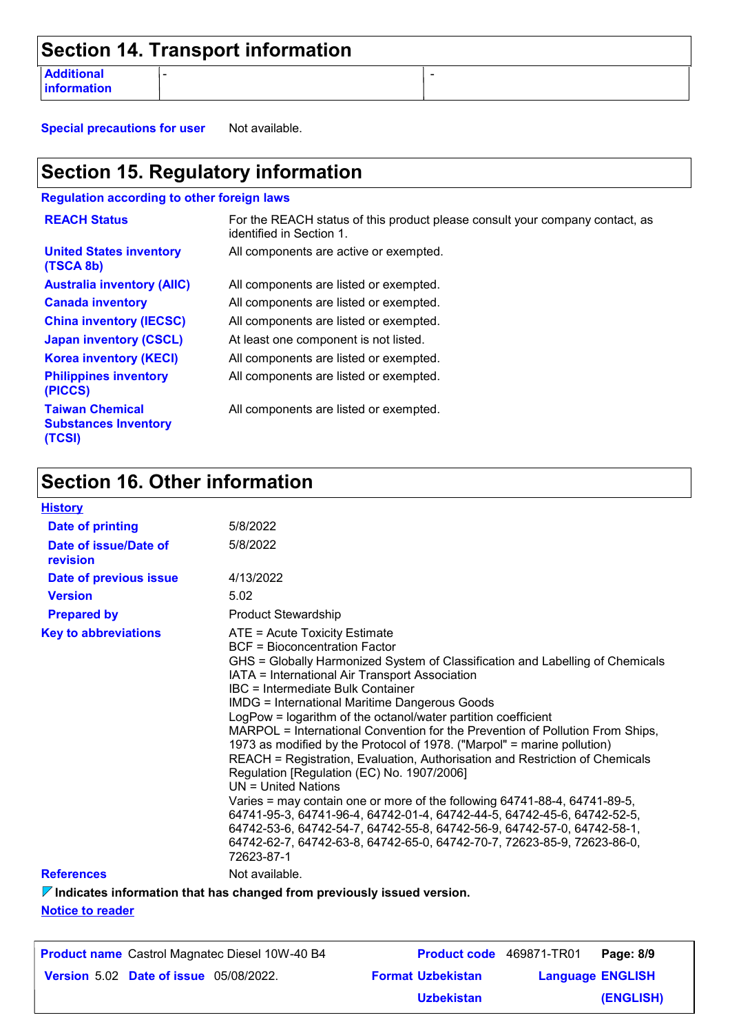|                                  | Section 14. Transport information |  |
|----------------------------------|-----------------------------------|--|
| <b>Additional</b><br>information |                                   |  |

**Special precautions for user** Not available.

# **Section 15. Regulatory information**

**Regulation according to other foreign laws**

| <b>REACH Status</b>                                             | For the REACH status of this product please consult your company contact, as<br>identified in Section 1. |
|-----------------------------------------------------------------|----------------------------------------------------------------------------------------------------------|
| <b>United States inventory</b><br>(TSCA 8b)                     | All components are active or exempted.                                                                   |
| <b>Australia inventory (AIIC)</b>                               | All components are listed or exempted.                                                                   |
| <b>Canada inventory</b>                                         | All components are listed or exempted.                                                                   |
| <b>China inventory (IECSC)</b>                                  | All components are listed or exempted.                                                                   |
| <b>Japan inventory (CSCL)</b>                                   | At least one component is not listed.                                                                    |
| <b>Korea inventory (KECI)</b>                                   | All components are listed or exempted.                                                                   |
| <b>Philippines inventory</b><br>(PICCS)                         | All components are listed or exempted.                                                                   |
| <b>Taiwan Chemical</b><br><b>Substances Inventory</b><br>(TCSI) | All components are listed or exempted.                                                                   |

# **Section 16. Other information**

| <b>History</b>                    |                                                                                                                                                                                                                                                                                                                                                                                                                                                                                                                                                                                                                                                                                                                                                                                                                                                                                                                                                                                                                |
|-----------------------------------|----------------------------------------------------------------------------------------------------------------------------------------------------------------------------------------------------------------------------------------------------------------------------------------------------------------------------------------------------------------------------------------------------------------------------------------------------------------------------------------------------------------------------------------------------------------------------------------------------------------------------------------------------------------------------------------------------------------------------------------------------------------------------------------------------------------------------------------------------------------------------------------------------------------------------------------------------------------------------------------------------------------|
| Date of printing                  | 5/8/2022                                                                                                                                                                                                                                                                                                                                                                                                                                                                                                                                                                                                                                                                                                                                                                                                                                                                                                                                                                                                       |
| Date of issue/Date of<br>revision | 5/8/2022                                                                                                                                                                                                                                                                                                                                                                                                                                                                                                                                                                                                                                                                                                                                                                                                                                                                                                                                                                                                       |
| Date of previous issue            | 4/13/2022                                                                                                                                                                                                                                                                                                                                                                                                                                                                                                                                                                                                                                                                                                                                                                                                                                                                                                                                                                                                      |
| <b>Version</b>                    | 5.02                                                                                                                                                                                                                                                                                                                                                                                                                                                                                                                                                                                                                                                                                                                                                                                                                                                                                                                                                                                                           |
| <b>Prepared by</b>                | <b>Product Stewardship</b>                                                                                                                                                                                                                                                                                                                                                                                                                                                                                                                                                                                                                                                                                                                                                                                                                                                                                                                                                                                     |
| <b>Key to abbreviations</b>       | ATE = Acute Toxicity Estimate<br>BCF = Bioconcentration Factor<br>GHS = Globally Harmonized System of Classification and Labelling of Chemicals<br>IATA = International Air Transport Association<br>IBC = Intermediate Bulk Container<br><b>IMDG = International Maritime Dangerous Goods</b><br>LogPow = logarithm of the octanol/water partition coefficient<br>MARPOL = International Convention for the Prevention of Pollution From Ships,<br>1973 as modified by the Protocol of 1978. ("Marpol" = marine pollution)<br>REACH = Registration, Evaluation, Authorisation and Restriction of Chemicals<br>Regulation [Regulation (EC) No. 1907/2006]<br>$UN = United Nations$<br>Varies = may contain one or more of the following 64741-88-4, 64741-89-5,<br>64741-95-3, 64741-96-4, 64742-01-4, 64742-44-5, 64742-45-6, 64742-52-5,<br>64742-53-6, 64742-54-7, 64742-55-8, 64742-56-9, 64742-57-0, 64742-58-1,<br>64742-62-7, 64742-63-8, 64742-65-0, 64742-70-7, 72623-85-9, 72623-86-0,<br>72623-87-1 |
| <b>References</b>                 | Not available.                                                                                                                                                                                                                                                                                                                                                                                                                                                                                                                                                                                                                                                                                                                                                                                                                                                                                                                                                                                                 |

**Indicates information that has changed from previously issued version.**

**Notice to reader**

| <b>Product name</b> Castrol Magnatec Diesel 10W-40 B4 |                          | Product code 469871-TR01 | Page: 8/9 |
|-------------------------------------------------------|--------------------------|--------------------------|-----------|
| <b>Version 5.02 Date of issue 05/08/2022.</b>         | <b>Format Uzbekistan</b> | <b>Language ENGLISH</b>  |           |
|                                                       | <b>Uzbekistan</b>        |                          | (ENGLISH) |